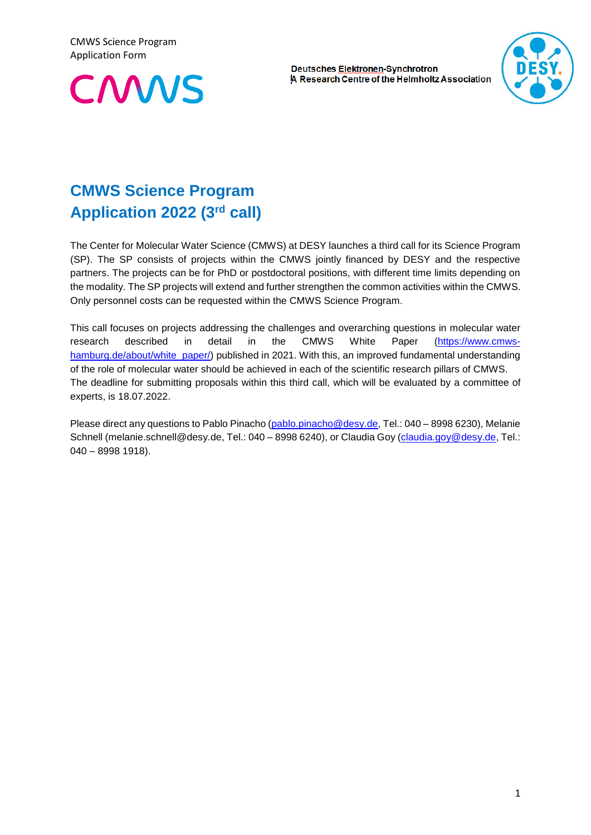CMWS Science Program Application Form



**Deutsches Elektronen-Synchrotron** A Research Centre of the Helmholtz Association



# **CMWS Science Program Application 2022 (3 rd call)**

The Center for Molecular Water Science (CMWS) at DESY launches a third call for its Science Program (SP). The SP consists of projects within the CMWS jointly financed by DESY and the respective partners. The projects can be for PhD or postdoctoral positions, with different time limits depending on the modality. The SP projects will extend and further strengthen the common activities within the CMWS. Only personnel costs can be requested within the CMWS Science Program.

This call focuses on projects addressing the challenges and overarching questions in molecular water research described in detail in the CMWS White Paper [\(https://www.cmws](https://www.cmws-hamburg.de/about/white_paper/)[hamburg.de/about/white\\_paper/\)](https://www.cmws-hamburg.de/about/white_paper/) published in 2021. With this, an improved fundamental understanding of the role of molecular water should be achieved in each of the scientific research pillars of CMWS. The deadline for submitting proposals within this third call, which will be evaluated by a committee of experts, is 18.07.2022.

Please direct any questions to Pablo Pinacho [\(pablo.pinacho@desy.de,](mailto:pablo.pinacho@desy.de) Tel.: 040 – 8998 6230), Melanie Schnell (melanie.schnell@desy.de, Tel.: 040 - 8998 6240), or Claudia Goy [\(claudia.goy@desy.de,](mailto:claudia.goy@desy.de) Tel.: 040 – 8998 1918).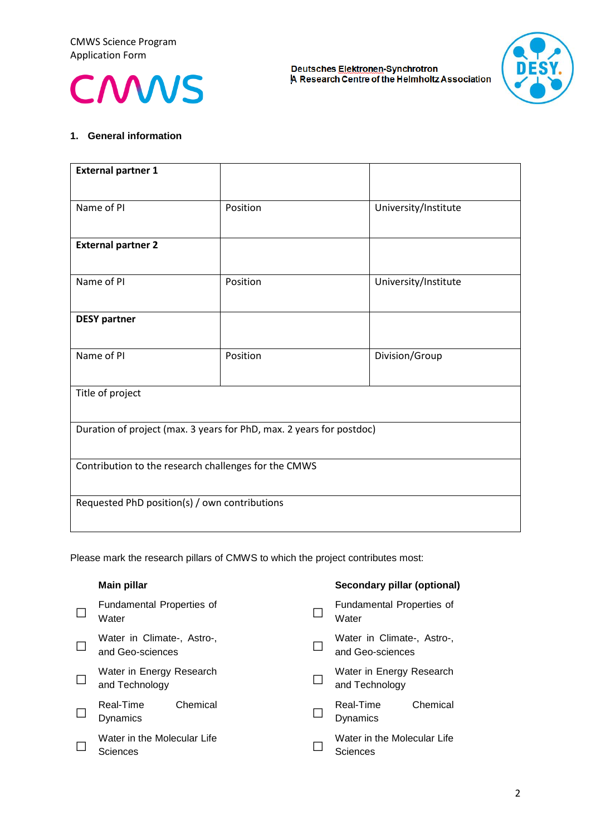



#### **1. General information**

| <b>External partner 1</b>                                            |          |                      |  |  |
|----------------------------------------------------------------------|----------|----------------------|--|--|
| Name of PI                                                           | Position | University/Institute |  |  |
| <b>External partner 2</b>                                            |          |                      |  |  |
| Name of PI                                                           | Position | University/Institute |  |  |
| <b>DESY partner</b>                                                  |          |                      |  |  |
| Name of PI                                                           | Position | Division/Group       |  |  |
| Title of project                                                     |          |                      |  |  |
| Duration of project (max. 3 years for PhD, max. 2 years for postdoc) |          |                      |  |  |
| Contribution to the research challenges for the CMWS                 |          |                      |  |  |
| Requested PhD position(s) / own contributions                        |          |                      |  |  |

Please mark the research pillars of CMWS to which the project contributes most:

| <b>Main pillar</b>                             | Secondary pillar (optional)                    |
|------------------------------------------------|------------------------------------------------|
| Fundamental Properties of<br>Water             | Fundamental Properties of<br>Water             |
| Water in Climate-, Astro-,<br>and Geo-sciences | Water in Climate-, Astro-,<br>and Geo-sciences |
| Water in Energy Research<br>and Technology     | Water in Energy Research<br>and Technology     |
| Chemical<br>Real-Time<br>Dynamics              | Chemical<br>Real-Time<br><b>Dynamics</b>       |
| Water in the Molecular Life<br>Sciences        | Water in the Molecular Life<br>Sciences        |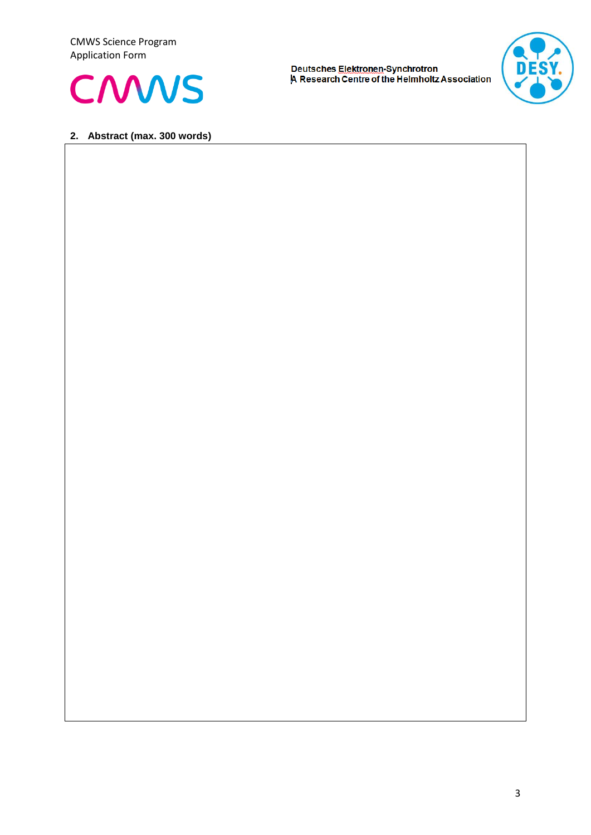CMWS Science Program Application Form



**Deutsches Elektronen-Synchrotron<br>|A Research Centre of the Helmholtz Association** 



#### **2. Abstract (max. 300 words)**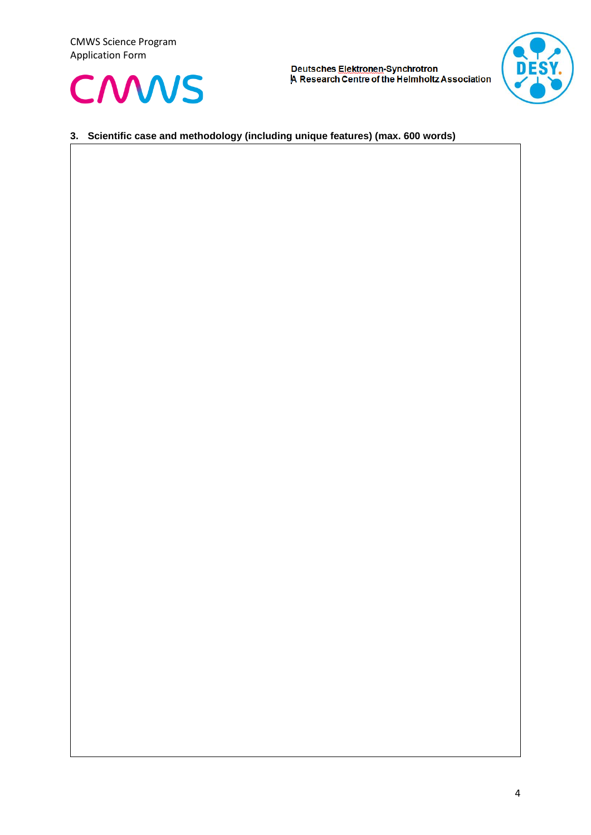



# **3. Scientific case and methodology (including unique features) (max. 600 words)**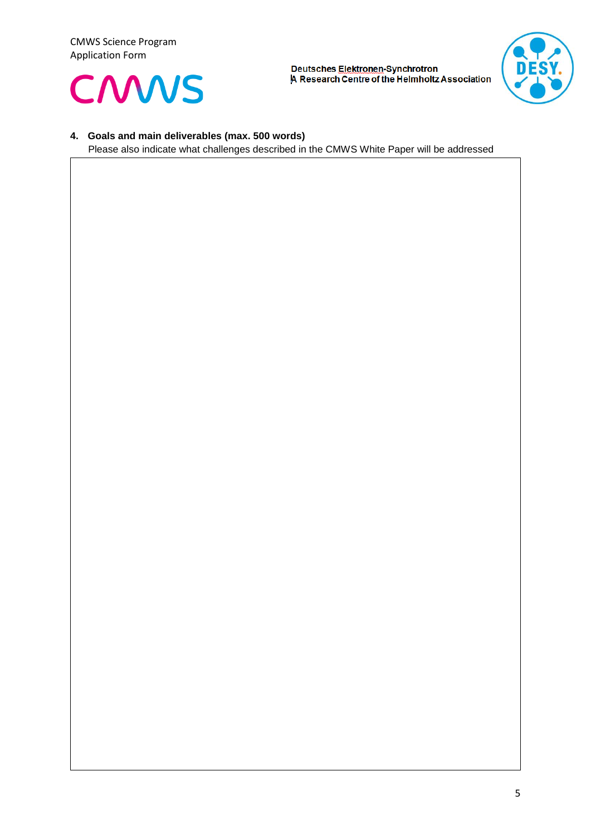



### **4. Goals and main deliverables (max. 500 words)**

Please also indicate what challenges described in the CMWS White Paper will be addressed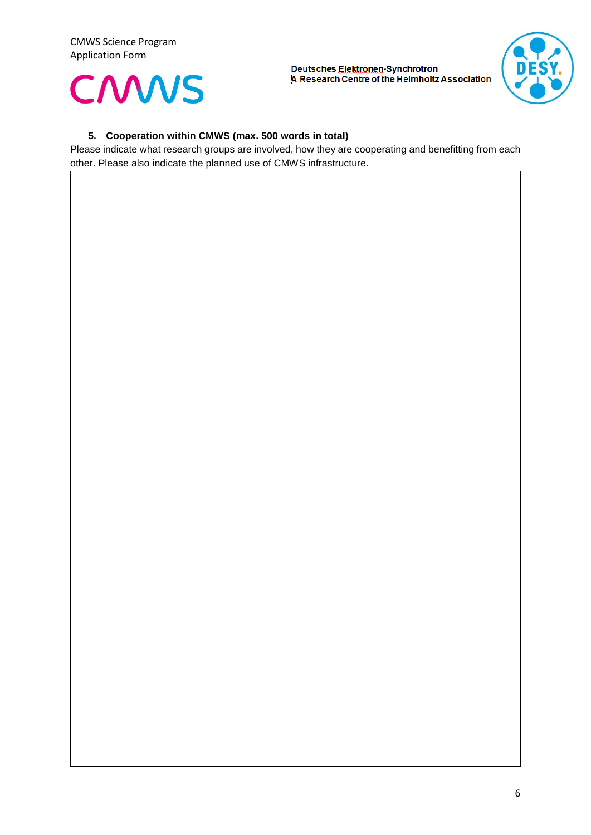



## **5. Cooperation within CMWS (max. 500 words in total)**

Please indicate what research groups are involved, how they are cooperating and benefitting from each other. Please also indicate the planned use of CMWS infrastructure.